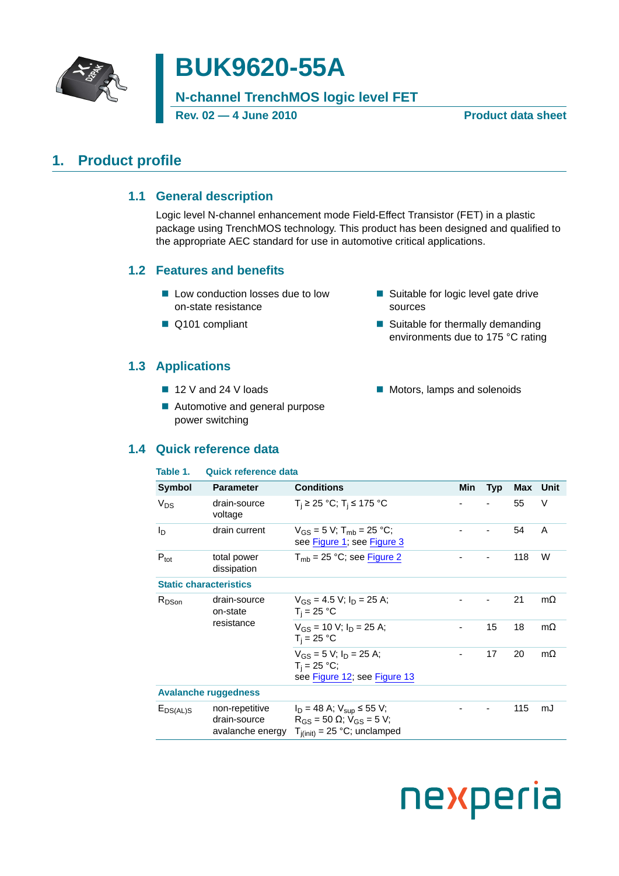

# **BUK9620-55A**

**N-channel TrenchMOS logic level FET**

**Rev. 02 — 4 June 2010 Product data sheet**

# <span id="page-0-1"></span><span id="page-0-0"></span>**1. Product profile**

# **1.1 General description**

Logic level N-channel enhancement mode Field-Effect Transistor (FET) in a plastic package using TrenchMOS technology. This product has been designed and qualified to the appropriate AEC standard for use in automotive critical applications.

# <span id="page-0-2"></span>**1.2 Features and benefits**

- Low conduction losses due to low on-state resistance
- Q101 compliant

# <span id="page-0-3"></span>**1.3 Applications**

- 12 V and 24 V loads
- Automotive and general purpose power switching

# <span id="page-0-4"></span>**1.4 Q**

### **Table 1. Quick reference data**

|                   | Quick reference data                   |                                                                                      |     |            |     |           |
|-------------------|----------------------------------------|--------------------------------------------------------------------------------------|-----|------------|-----|-----------|
| Table 1.          | <b>Quick reference data</b>            |                                                                                      |     |            |     |           |
| <b>Symbol</b>     | <b>Parameter</b>                       | <b>Conditions</b>                                                                    | Min | <b>Typ</b> | Max | Unit      |
| V <sub>DS</sub>   | drain-source<br>voltage                | $T_i$ ≥ 25 °C; T <sub>i</sub> ≤ 175 °C                                               |     |            | 55  | V         |
| ln.               | drain current                          | $V_{GS} = 5 V$ ; T <sub>mb</sub> = 25 °C;<br>see Figure 1; see Figure 3              |     |            | 54  | A         |
| $P_{\text{tot}}$  | total power<br>dissipation             | $T_{mb}$ = 25 °C; see Figure 2                                                       |     |            | 118 | W         |
|                   | <b>Static characteristics</b>          |                                                                                      |     |            |     |           |
| R <sub>DSon</sub> | drain-source<br>on-state<br>resistance | $V_{GS} = 4.5 V$ ; $I_D = 25 A$ ;<br>$T_i = 25 °C$                                   |     |            | 21  | $m\Omega$ |
|                   |                                        | $V_{GS}$ = 10 V; $I_D$ = 25 A;<br>$T_i = 25 °C$                                      |     | 15         | 18  | $m\Omega$ |
|                   |                                        | $V_{GS}$ = 5 V; $I_D$ = 25 A;<br>$T_i = 25 °C;$<br>see Figure 12; see Figure 13      |     | 17         | 20  | $m\Omega$ |
|                   | <b>Avalanche ruggedness</b>            |                                                                                      |     |            |     |           |
| $E_{DS(AL)S}$     | non-repetitive<br>drain-source         | $I_D = 48$ A; $V_{\text{sup}} \le 55$ V;<br>$R_{GS}$ = 50 $\Omega$ ; $V_{GS}$ = 5 V; |     |            | 115 | mJ        |

avalanche energy  $T_{j(int)} = 25 °C$ ; unclamped

### ■ Suitable for logic level gate drive sources

- $\blacksquare$  Suitable for thermally demanding environments due to 175 °C rating
- Motors, lamps and solenoids

# nexperia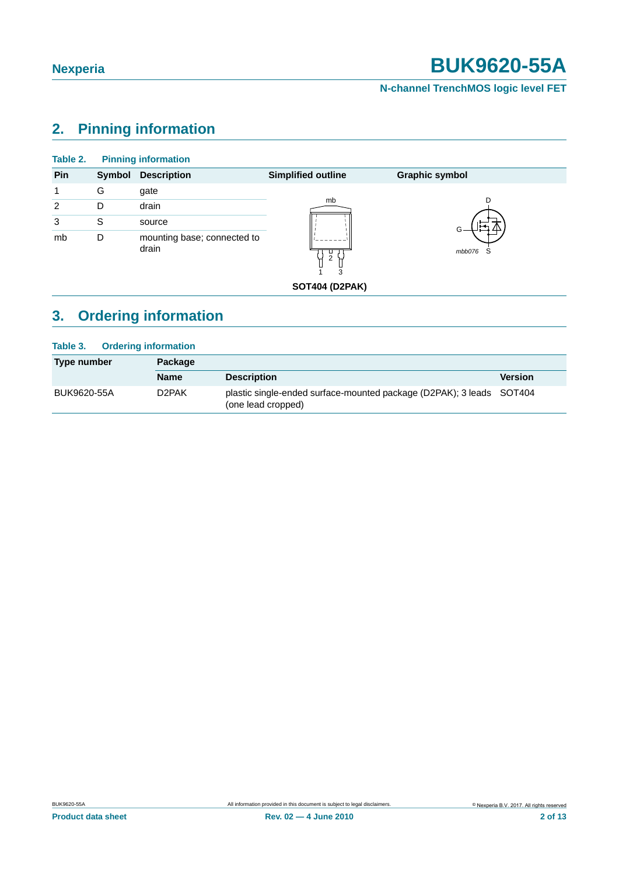# **N-channel TrenchMOS logic level FET**

# <span id="page-1-0"></span>**2. Pinning information**

| Table 2. |        | <b>Pinning information</b>           |                           |                       |
|----------|--------|--------------------------------------|---------------------------|-----------------------|
| Pin      | Symbol | <b>Description</b>                   | <b>Simplified outline</b> | <b>Graphic symbol</b> |
| 1        | G      | gate                                 |                           |                       |
| 2        | D      | drain                                | mb                        | D                     |
| 3        | S      | source                               |                           |                       |
| mb       | D      | mounting base; connected to<br>drain | ш<br>2<br>3               | mbb076<br>S           |
|          |        |                                      | <b>SOT404 (D2PAK)</b>     |                       |

# <span id="page-1-1"></span>**3. Ordering information**

| <b>Ordering information</b><br>Table 3. |             |                                                                                            |                |  |  |
|-----------------------------------------|-------------|--------------------------------------------------------------------------------------------|----------------|--|--|
| Type number                             | Package     |                                                                                            |                |  |  |
|                                         | <b>Name</b> | <b>Description</b>                                                                         | <b>Version</b> |  |  |
| BUK9620-55A                             | D2PAK       | plastic single-ended surface-mounted package (D2PAK); 3 leads SOT404<br>(one lead cropped) |                |  |  |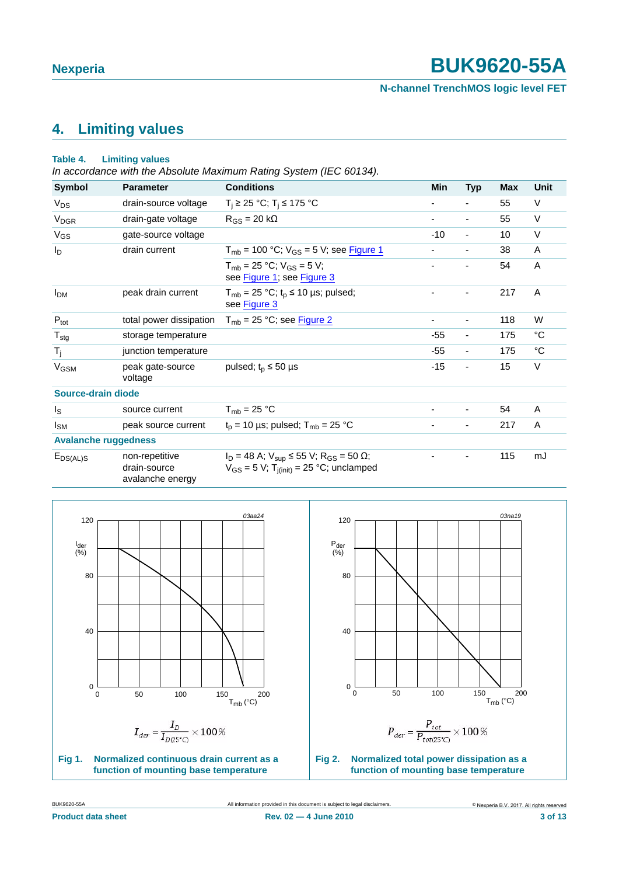- - 115 mJ

**N-channel TrenchMOS logic level FET**

# <span id="page-2-2"></span>**4. Limiting values**

### **Table 4. Limiting values**

*In accordance with the Absolute Maximum Rating System (IEC 60134).*

| <b>Symbol</b>               | <b>Parameter</b>            | <b>Conditions</b>                                                       | Min   | <b>Typ</b>               | <b>Max</b> | Unit        |
|-----------------------------|-----------------------------|-------------------------------------------------------------------------|-------|--------------------------|------------|-------------|
| $V_{DS}$                    | drain-source voltage        | $T_i$ ≥ 25 °C; T <sub>i</sub> ≤ 175 °C                                  |       | ٠                        | 55         | $\vee$      |
| <b>V<sub>DGR</sub></b>      | drain-gate voltage          | $R_{GS}$ = 20 k $\Omega$                                                | ٠     | ۰                        | 55         | V           |
| $V_{GS}$                    | gate-source voltage         |                                                                         | $-10$ | $\blacksquare$           | 10         | V           |
| l <sub>D</sub>              | drain current               | $T_{\rm mb}$ = 100 °C; $V_{\rm GS}$ = 5 V; see Figure 1                 |       | ۰                        | 38         | A           |
|                             |                             | $T_{\rm mb}$ = 25 °C; $V_{\rm GS}$ = 5 V;<br>see Figure 1; see Figure 3 |       |                          | 54         | A           |
| <b>I</b> <sub>DM</sub>      | peak drain current          | $T_{mb}$ = 25 °C; t <sub>p</sub> ≤ 10 µs; pulsed;<br>see Figure 3       |       | ۰                        | 217        | A           |
| $P_{\text{tot}}$            | total power dissipation     | $T_{mb}$ = 25 °C; see Figure 2                                          |       | ۰                        | 118        | W           |
| $T_{\text{stg}}$            | storage temperature         |                                                                         | $-55$ | $\overline{\phantom{a}}$ | 175        | °C          |
| $T_{j}$                     | junction temperature        |                                                                         | $-55$ | $\overline{\phantom{a}}$ | 175        | $^{\circ}C$ |
| <b>V<sub>GSM</sub></b>      | peak gate-source<br>voltage | pulsed; $t_p \le 50$ µs                                                 | $-15$ | $\overline{\phantom{a}}$ | 15         | V           |
| Source-drain diode          |                             |                                                                         |       |                          |            |             |
| l <sub>S</sub>              | source current              | $T_{\rm mb}$ = 25 °C                                                    | ٠     | ٠                        | 54         | A           |
| $I_{SM}$                    | peak source current         | $t_p$ = 10 µs; pulsed; $T_{mb}$ = 25 °C                                 |       | ۰                        | 217        | A           |
| <b>Avalanche ruggedness</b> |                             |                                                                         |       |                          |            |             |

EDS(AL)S non-repetitive drain-source avalanche energy







<span id="page-2-1"></span><span id="page-2-0"></span>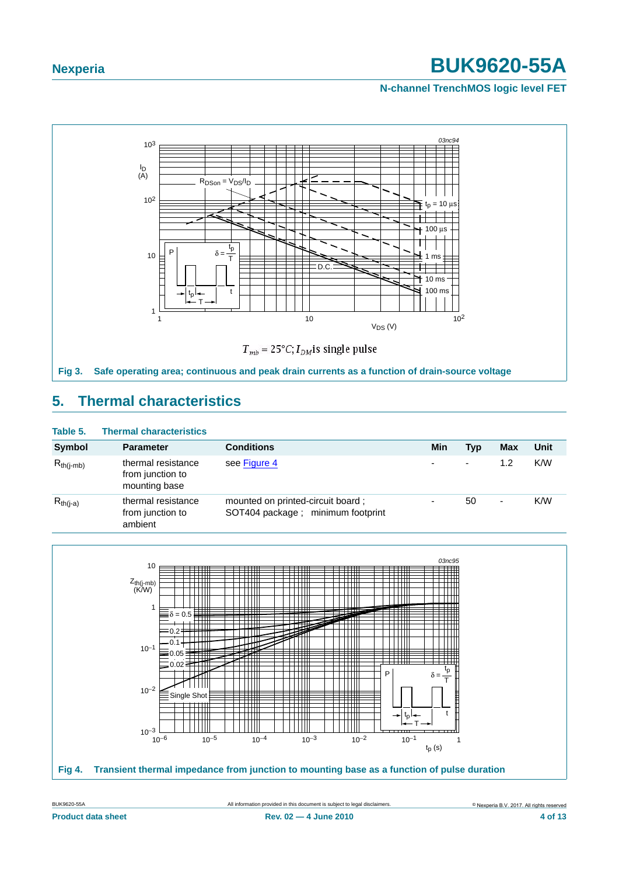### **N-channel TrenchMOS logic level FET**



# <span id="page-3-2"></span><span id="page-3-0"></span>**5. Thermal characteristics**

### **Table 5. Thermal characteristics**

| <b>Symbol</b>  | <b>Parameter</b>                                        | <b>Conditions</b>                                                       | Min | Typ                      | Max | Unit |
|----------------|---------------------------------------------------------|-------------------------------------------------------------------------|-----|--------------------------|-----|------|
| $R_{th(i-mb)}$ | thermal resistance<br>from junction to<br>mounting base | see Figure 4                                                            | ٠   | $\overline{\phantom{a}}$ | 1.2 | K/W  |
| $R_{th(j-a)}$  | thermal resistance<br>from junction to<br>ambient       | mounted on printed-circuit board;<br>SOT404 package ; minimum footprint | ٠   | 50                       | ۰   | K/W  |

<span id="page-3-1"></span>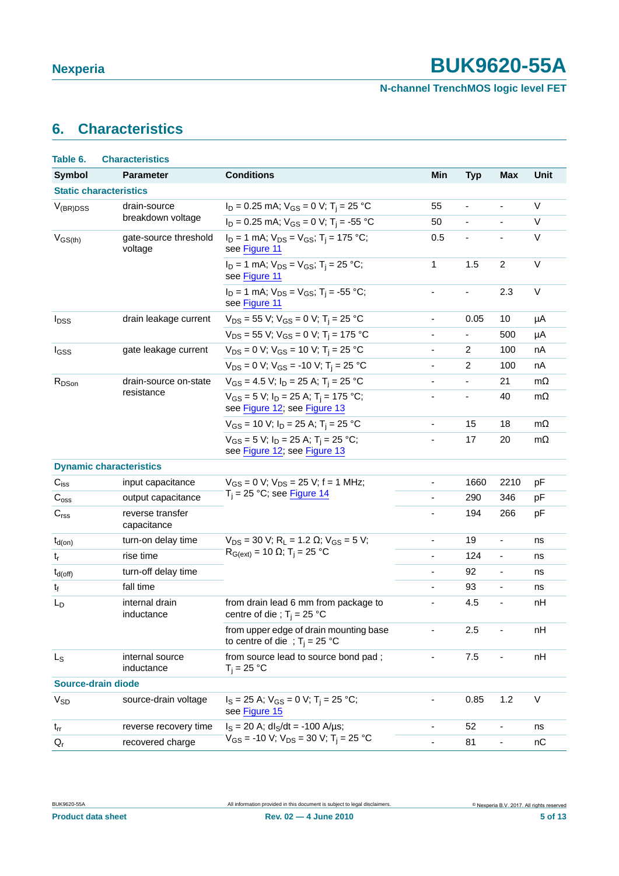# <span id="page-4-0"></span>**6. Characteristics**

| Table 6.                  | <b>Characteristics</b>           |                                                                                                 |                              |                          |                              |             |
|---------------------------|----------------------------------|-------------------------------------------------------------------------------------------------|------------------------------|--------------------------|------------------------------|-------------|
| <b>Symbol</b>             | <b>Parameter</b>                 | <b>Conditions</b>                                                                               | Min                          | <b>Typ</b>               | <b>Max</b>                   | <b>Unit</b> |
|                           | <b>Static characteristics</b>    |                                                                                                 |                              |                          |                              |             |
| $V_{(BR)DSS}$             | drain-source                     | $I_D = 0.25$ mA; $V_{GS} = 0$ V; T <sub>i</sub> = 25 °C                                         | 55                           | $\overline{\phantom{a}}$ | $\qquad \qquad \blacksquare$ | V           |
|                           | breakdown voltage                | $I_D = 0.25$ mA; $V_{GS} = 0$ V; T <sub>i</sub> = -55 °C                                        | 50                           | $\overline{\phantom{a}}$ | $\overline{\phantom{a}}$     | V           |
| $V_{GS(th)}$              | gate-source threshold<br>voltage | $I_D = 1$ mA; $V_{DS} = V_{GS}$ ; T <sub>i</sub> = 175 °C;<br>see Figure 11                     | 0.5                          |                          | $\overline{\phantom{a}}$     | V           |
|                           |                                  | $I_D = 1$ mA; $V_{DS} = V_{GS}$ ; T <sub>i</sub> = 25 °C;<br>see Figure 11                      | 1                            | 1.5                      | $\overline{c}$               | $\vee$      |
|                           |                                  | $I_D = 1$ mA; $V_{DS} = V_{GS}$ ; T <sub>i</sub> = -55 °C;<br>see Figure 11                     | ÷,                           | $\blacksquare$           | 2.3                          | V           |
| <b>I</b> <sub>DSS</sub>   | drain leakage current            | $V_{DS}$ = 55 V; V <sub>GS</sub> = 0 V; T <sub>i</sub> = 25 °C                                  | $\overline{\phantom{0}}$     | 0.05                     | 10                           | μA          |
|                           |                                  | $V_{DS}$ = 55 V; V <sub>GS</sub> = 0 V; T <sub>i</sub> = 175 °C                                 | $\overline{\phantom{0}}$     | $\overline{\phantom{a}}$ | 500                          | μA          |
| I <sub>GSS</sub>          | gate leakage current             | $V_{DS} = 0$ V; $V_{GS} = 10$ V; T <sub>i</sub> = 25 °C                                         | $\overline{\phantom{0}}$     | $\overline{c}$           | 100                          | nA          |
|                           |                                  | $V_{DS} = 0$ V; $V_{GS} = -10$ V; T <sub>i</sub> = 25 °C                                        | $\overline{\phantom{a}}$     | $\overline{2}$           | 100                          | nA          |
| R <sub>DSon</sub>         | drain-source on-state            | $V_{GS}$ = 4.5 V; $I_D$ = 25 A; T <sub>i</sub> = 25 °C                                          | $\blacksquare$               | $\overline{\phantom{a}}$ | 21                           | $m\Omega$   |
|                           | resistance                       | $V_{GS}$ = 5 V; I <sub>D</sub> = 25 A; T <sub>i</sub> = 175 °C;<br>see Figure 12; see Figure 13 | $\overline{\phantom{a}}$     | $\overline{\phantom{a}}$ | 40                           | $m\Omega$   |
|                           |                                  | $V_{GS}$ = 10 V; $I_D$ = 25 A; T <sub>i</sub> = 25 °C                                           | $\qquad \qquad \blacksquare$ | 15                       | 18                           | $m\Omega$   |
|                           |                                  | $V_{GS} = 5 V$ ; $I_D = 25 A$ ; $T_i = 25 °C$ ;<br>see Figure 12; see Figure 13                 | $\qquad \qquad \blacksquare$ | 17                       | 20                           | $m\Omega$   |
|                           | <b>Dynamic characteristics</b>   |                                                                                                 |                              |                          |                              |             |
| $C_{iss}$                 | input capacitance                | $V_{GS} = 0$ V; $V_{DS} = 25$ V; f = 1 MHz;                                                     | $\qquad \qquad \blacksquare$ | 1660                     | 2210                         | рF          |
| $\mathrm{C_{oss}}$        | output capacitance               | $T_i = 25$ °C; see Figure 14                                                                    | ä,                           | 290                      | 346                          | pF          |
| $\mathbf{C}_{\text{rss}}$ | reverse transfer<br>capacitance  |                                                                                                 |                              | 194                      | 266                          | pF          |
| $t_{d(on)}$               | turn-on delay time               | $V_{DS}$ = 30 V; R <sub>L</sub> = 1.2 $\Omega$ ; V <sub>GS</sub> = 5 V;                         | $\blacksquare$               | 19                       | $\overline{\phantom{a}}$     | ns          |
| $t_r$                     | rise time                        | $R_{G(ext)} = 10$ Ω; T <sub>i</sub> = 25 °C                                                     | $\blacksquare$               | 124                      | $\blacksquare$               | ns          |
| $t_{d(off)}$              | turn-off delay time              |                                                                                                 | $\overline{\phantom{a}}$     | 92                       | $\overline{\phantom{a}}$     | ns          |
| t <sub>f</sub>            | fall time                        |                                                                                                 | $\overline{\phantom{m}}$     | 93                       | $\blacksquare$               | ns          |
| L <sub>D</sub>            | internal drain<br>inductance     | from drain lead 6 mm from package to<br>centre of die ; $T_i = 25$ °C                           | ÷,                           | 4.5                      | $\overline{\phantom{a}}$     | nH          |
|                           |                                  | from upper edge of drain mounting base<br>to centre of die ; $T_i = 25$ °C                      |                              | 2.5                      |                              | nH          |
| $L_{S}$                   | internal source<br>inductance    | from source lead to source bond pad;<br>$T_i = 25 °C$                                           |                              | 7.5                      |                              | nH          |
|                           | Source-drain diode               |                                                                                                 |                              |                          |                              |             |
| $V_{SD}$                  | source-drain voltage             | $I_S = 25$ A; $V_{GS} = 0$ V; T <sub>i</sub> = 25 °C;<br>see Figure 15                          |                              | 0.85                     | 1.2                          | V           |
| $t_{rr}$                  | reverse recovery time            | $I_S = 20$ A; dl <sub>S</sub> /dt = -100 A/µs;                                                  | -                            | 52                       | $\qquad \qquad \blacksquare$ | ns          |
| $Q_{r}$                   | recovered charge                 | $V_{GS}$ = -10 V; $V_{DS}$ = 30 V; T <sub>i</sub> = 25 °C                                       |                              | 81                       | $\blacksquare$               | nC          |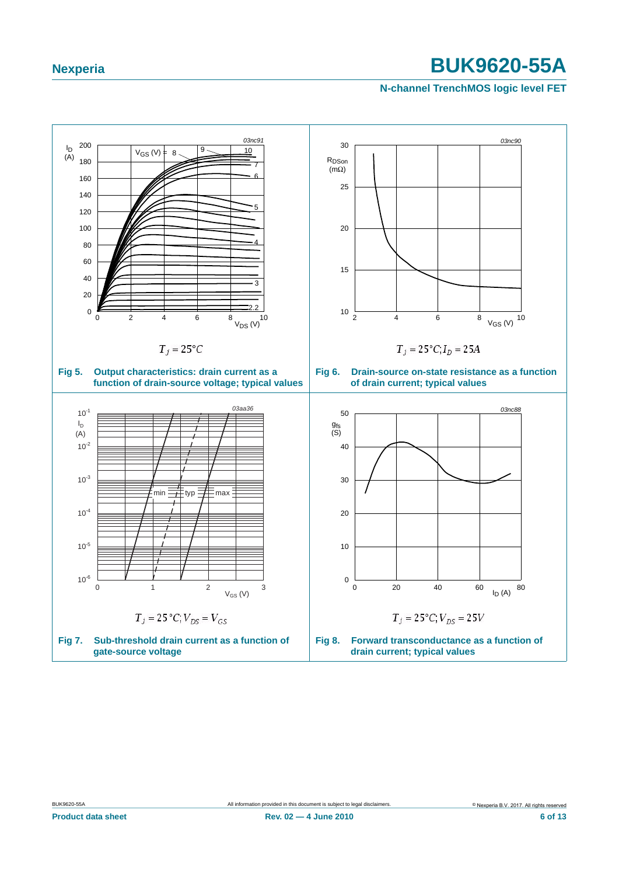### **N-channel TrenchMOS logic level FET**

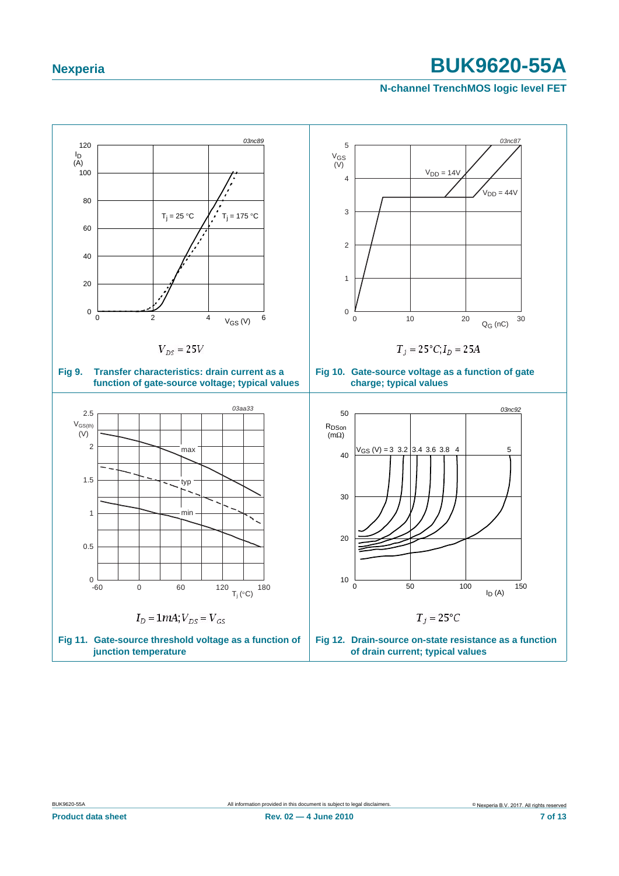### <span id="page-6-0"></span>**N-channel TrenchMOS logic level FET**

<span id="page-6-1"></span>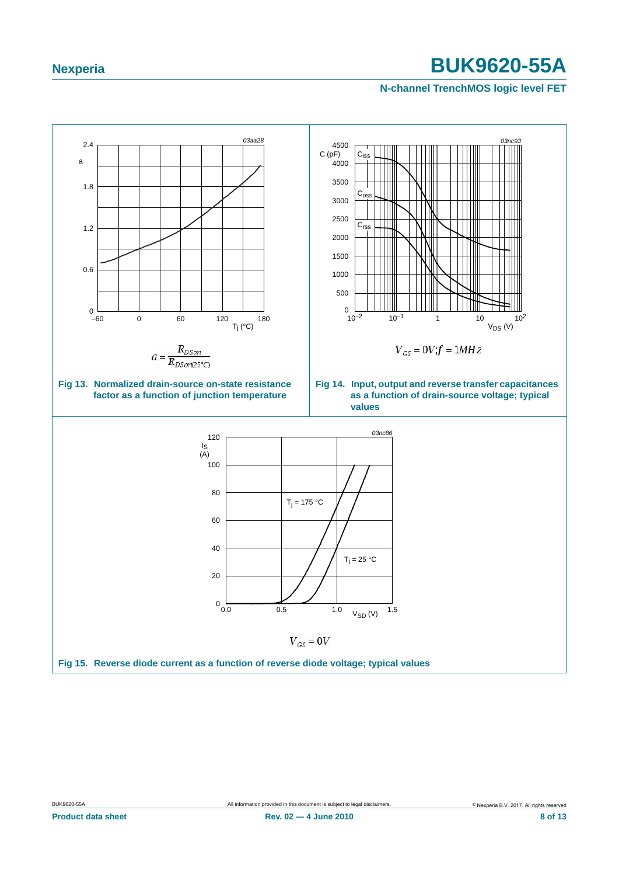### <span id="page-7-1"></span>**N-channel TrenchMOS logic level FET**

<span id="page-7-2"></span><span id="page-7-0"></span>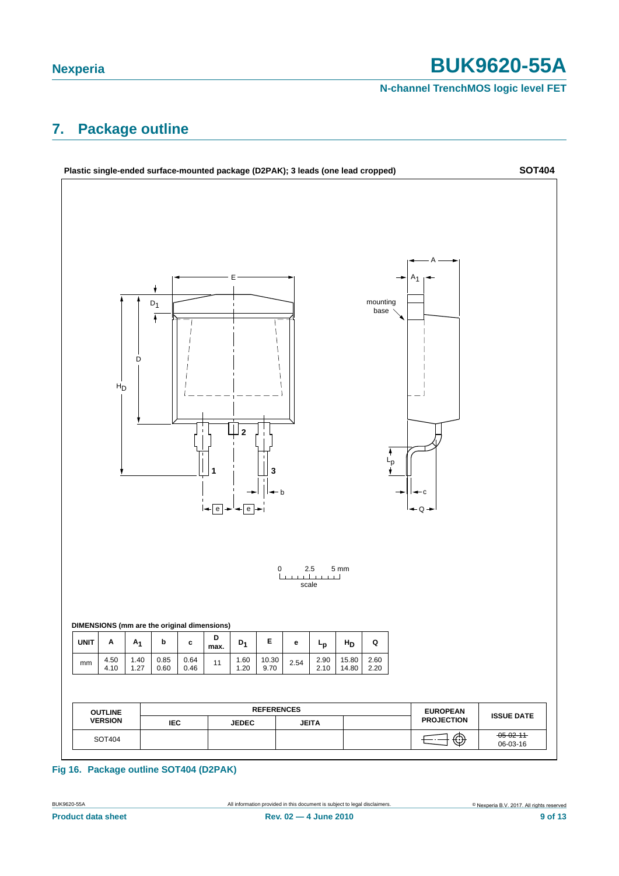### **N-channel TrenchMOS logic level FET**

# <span id="page-8-0"></span>**7. Package outline**



### **Fig 16. Package outline SOT404 (D2PAK)**

**Product data sheet Rev. 02 — 4 June 2010 9 of 13**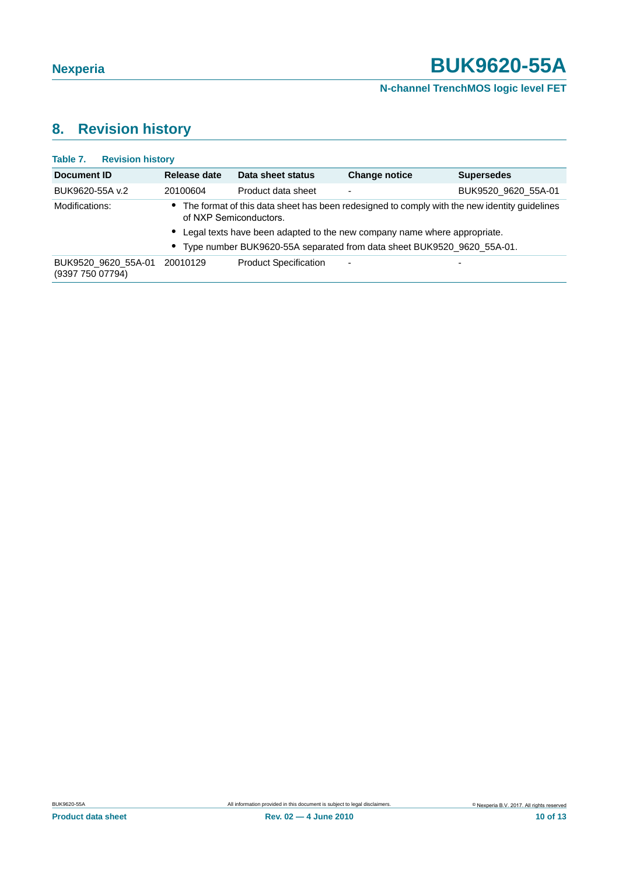# <span id="page-9-0"></span>**8. Revision history**

| <b>Revision history</b><br>Table 7.     |                                                                                                                          |                                                                          |                          |                     |  |  |
|-----------------------------------------|--------------------------------------------------------------------------------------------------------------------------|--------------------------------------------------------------------------|--------------------------|---------------------|--|--|
| Document ID                             | Release date                                                                                                             | Data sheet status                                                        | <b>Change notice</b>     | <b>Supersedes</b>   |  |  |
| BUK9620-55A v.2                         | 20100604                                                                                                                 | Product data sheet                                                       |                          | BUK9520 9620 55A-01 |  |  |
| Modifications:                          | • The format of this data sheet has been redesigned to comply with the new identity guidelines<br>of NXP Semiconductors. |                                                                          |                          |                     |  |  |
|                                         | • Legal texts have been adapted to the new company name where appropriate.                                               |                                                                          |                          |                     |  |  |
|                                         |                                                                                                                          | • Type number BUK9620-55A separated from data sheet BUK9520_9620_55A-01. |                          |                     |  |  |
| BUK9520 9620 55A-01<br>(9397 750 07794) | 20010129                                                                                                                 | <b>Product Specification</b>                                             | $\overline{\phantom{a}}$ | ۰                   |  |  |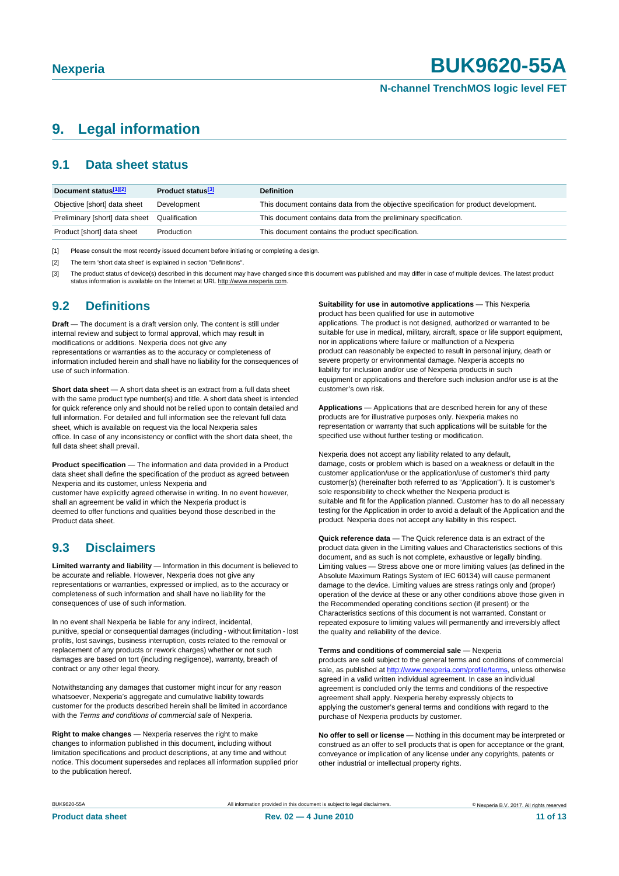# <span id="page-10-3"></span>**9. Legal information**

## <span id="page-10-4"></span>**9.1 Data sheet status**

| Document status[1][2]          | <b>Product status</b> <sup>[3]</sup> | <b>Definition</b>                                                                     |
|--------------------------------|--------------------------------------|---------------------------------------------------------------------------------------|
| Objective [short] data sheet   | Development                          | This document contains data from the objective specification for product development. |
| Preliminary [short] data sheet | Qualification                        | This document contains data from the preliminary specification.                       |
| Product [short] data sheet     | Production                           | This document contains the product specification.                                     |

<span id="page-10-0"></span>[1] Please consult the most recently issued document before initiating or completing a design.

<span id="page-10-1"></span>[2] The term 'short data sheet' is explained in section "Definitions"

<span id="page-10-2"></span>[3] The product status of device(s) described in this document may have changed since this document was published and may differ in case of multiple devices. The latest product<br>status information is available on the Intern

### <span id="page-10-5"></span>**9.2 Definitions**

**Draft** — The document is a draft version only. The content is still under internal review and subject to formal approval, which may result in modifications or additions. Nexperia does not give any representations or warranties as to the accuracy or completeness of information included herein and shall have no liability for the consequences of use of such information.

**Short data sheet** — A short data sheet is an extract from a full data sheet with the same product type number(s) and title. A short data sheet is intended for quick reference only and should not be relied upon to contain detailed and full information. For detailed and full information see the relevant full data sheet, which is available on request via the local Nexperia sales office. In case of any inconsistency or conflict with the short data sheet, the full data sheet shall prevail.

**Product specification** — The information and data provided in a Product data sheet shall define the specification of the product as agreed between Nexperia and its customer, unless Nexperia and

customer have explicitly agreed otherwise in writing. In no event however, shall an agreement be valid in which the Nexperia product is deemed to offer functions and qualities beyond those described in the Product data sheet.

# <span id="page-10-6"></span>**9.3 Disclaimers**

**Limited warranty and liability** — Information in this document is believed to be accurate and reliable. However, Nexperia does not give any representations or warranties, expressed or implied, as to the accuracy or completeness of such information and shall have no liability for the consequences of use of such information.

In no event shall Nexperia be liable for any indirect, incidental, punitive, special or consequential damages (including - without limitation - lost profits, lost savings, business interruption, costs related to the removal or replacement of any products or rework charges) whether or not such damages are based on tort (including negligence), warranty, breach of contract or any other legal theory.

Notwithstanding any damages that customer might incur for any reason whatsoever, Nexperia's aggregate and cumulative liability towards customer for the products described herein shall be limited in accordance with the *Terms and conditions of commercial sale* of Nexperia.

**Right to make changes** — Nexperia reserves the right to make changes to information published in this document, including without limitation specifications and product descriptions, at any time and without notice. This document supersedes and replaces all information supplied prior to the publication hereof.

**Suitability for use in automotive applications** — This Nexperia product has been qualified for use in automotive

applications. The product is not designed, authorized or warranted to be suitable for use in medical, military, aircraft, space or life support equipment, nor in applications where failure or malfunction of a Nexperia product can reasonably be expected to result in personal injury, death or severe property or environmental damage. Nexperia accepts no liability for inclusion and/or use of Nexperia products in such equipment or applications and therefore such inclusion and/or use is at the customer's own risk.

**Applications** — Applications that are described herein for any of these products are for illustrative purposes only. Nexperia makes no representation or warranty that such applications will be suitable for the specified use without further testing or modification.

Nexperia does not accept any liability related to any default, damage, costs or problem which is based on a weakness or default in the customer application/use or the application/use of customer's third party customer(s) (hereinafter both referred to as "Application"). It is customer's sole responsibility to check whether the Nexperia product is suitable and fit for the Application planned. Customer has to do all necessary testing for the Application in order to avoid a default of the Application and the product. Nexperia does not accept any liability in this respect.

**Quick reference data** — The Quick reference data is an extract of the product data given in the Limiting values and Characteristics sections of this document, and as such is not complete, exhaustive or legally binding. Limiting values — Stress above one or more limiting values (as defined in the Absolute Maximum Ratings System of IEC 60134) will cause permanent damage to the device. Limiting values are stress ratings only and (proper) operation of the device at these or any other conditions above those given in the Recommended operating conditions section (if present) or the Characteristics sections of this document is not warranted. Constant or repeated exposure to limiting values will permanently and irreversibly affect the quality and reliability of the device.

**Terms and conditions of commercial sale** — Nexperia products are sold subject to the general terms and conditions of commercial sale, as published at http://www.nexperia.com/profile/terms, unless otherwise agreed in a valid written individual agreement. In case an individual agreement is concluded only the terms and conditions of the respective agreement shall apply. Nexperia hereby expressly objects to applying the customer's general terms and conditions with regard to the purchase of Nexperia products by customer.

**No offer to sell or license** — Nothing in this document may be interpreted or construed as an offer to sell products that is open for acceptance or the grant, conveyance or implication of any license under any copyrights, patents or other industrial or intellectual property rights.

| BUK9620-55A |  |
|-------------|--|
|             |  |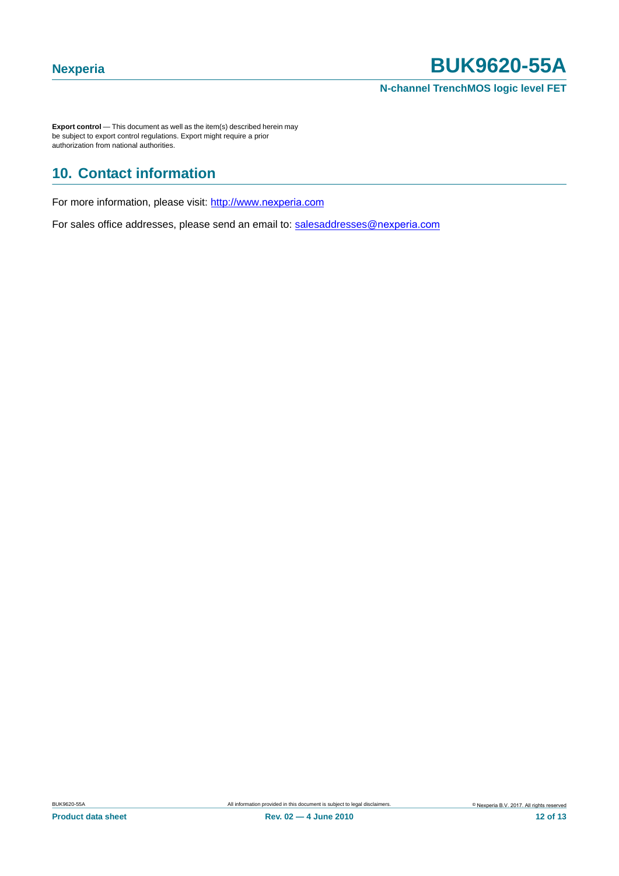**Export control** — This document as well as the item(s) described herein may be subject to export control regulations. Export might require a prior authorization from national authorities.

# <span id="page-11-0"></span>**10. Contact information**

For more information, please visit: http://www.nexperia.com

<span id="page-11-1"></span>For sales office addresses, please send an email to: salesaddresses@nexperia.com